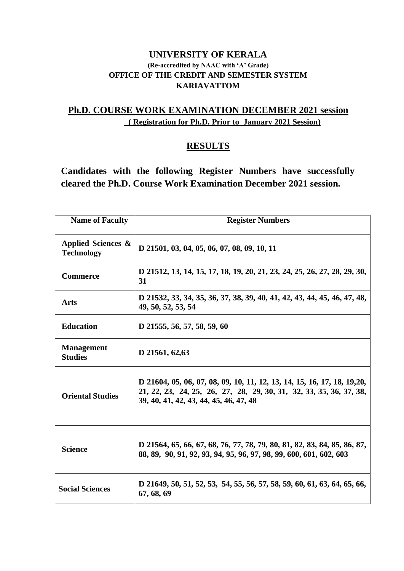#### **UNIVERSITY OF KERALA (Re-accredited by NAAC with 'A' Grade) OFFICE OF THE CREDIT AND SEMESTER SYSTEM KARIAVATTOM**

## **Ph.D. COURSE WORK EXAMINATION DECEMBER 2021 session ( Registration for Ph.D. Prior to January 2021 Session)**

### **RESULTS**

**Candidates with the following Register Numbers have successfully cleared the Ph.D. Course Work Examination December 2021 session.**

| <b>Name of Faculty</b>                  | <b>Register Numbers</b>                                                                                                                                                                   |
|-----------------------------------------|-------------------------------------------------------------------------------------------------------------------------------------------------------------------------------------------|
| Applied Sciences &<br><b>Technology</b> | D 21501, 03, 04, 05, 06, 07, 08, 09, 10, 11                                                                                                                                               |
| <b>Commerce</b>                         | D 21512, 13, 14, 15, 17, 18, 19, 20, 21, 23, 24, 25, 26, 27, 28, 29, 30,<br>31                                                                                                            |
| <b>Arts</b>                             | D 21532, 33, 34, 35, 36, 37, 38, 39, 40, 41, 42, 43, 44, 45, 46, 47, 48,<br>49, 50, 52, 53, 54                                                                                            |
| <b>Education</b>                        | D 21555, 56, 57, 58, 59, 60                                                                                                                                                               |
| <b>Management</b><br><b>Studies</b>     | D 21561, 62,63                                                                                                                                                                            |
| <b>Oriental Studies</b>                 | D 21604, 05, 06, 07, 08, 09, 10, 11, 12, 13, 14, 15, 16, 17, 18, 19, 20,<br>21, 22, 23, 24, 25, 26, 27, 28, 29, 30, 31, 32, 33, 35, 36, 37, 38,<br>39, 40, 41, 42, 43, 44, 45, 46, 47, 48 |
| <b>Science</b>                          | D 21564, 65, 66, 67, 68, 76, 77, 78, 79, 80, 81, 82, 83, 84, 85, 86, 87,<br>88, 89, 90, 91, 92, 93, 94, 95, 96, 97, 98, 99, 600, 601, 602, 603                                            |
| <b>Social Sciences</b>                  | D 21649, 50, 51, 52, 53, 54, 55, 56, 57, 58, 59, 60, 61, 63, 64, 65, 66,<br>67, 68, 69                                                                                                    |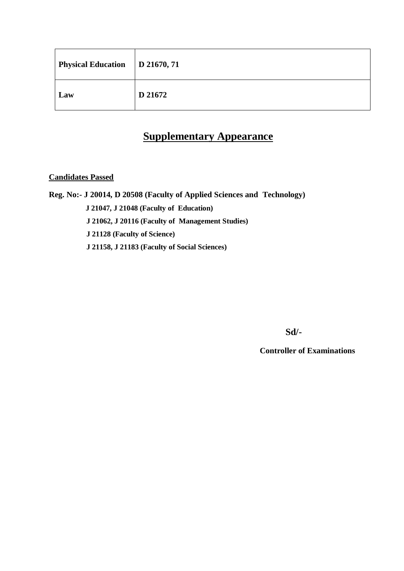| Physical Education   D 21670, 71 |         |
|----------------------------------|---------|
| Law                              | D 21672 |

# **Supplementary Appearance**

**Candidates Passed**

**Reg. No:- J 20014, D 20508 (Faculty of Applied Sciences and Technology) J 21047, J 21048 (Faculty of Education) J 21062, J 20116 (Faculty of Management Studies) J 21128 (Faculty of Science) J 21158, J 21183 (Faculty of Social Sciences)** 

**Sd/-** 

**Controller of Examinations**